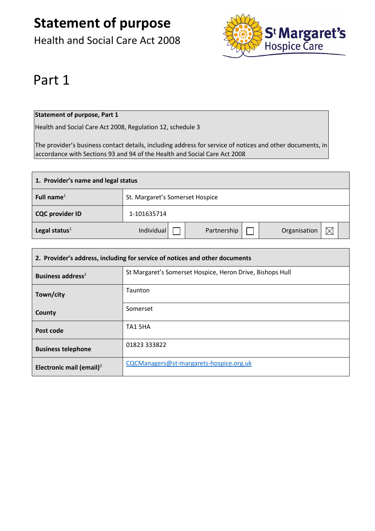Health and Social Care Act 2008



## Part 1

### **Statement of purpose, Part 1**

Health and Social Care Act 2008, Regulation 12, schedule 3

The provider's business contact details, including address for service of notices and other documents, in accordance with Sections 93 and 94 of the Health and Social Care Act 2008

| 1. Provider's name and legal status |             |                                 |             |  |              |  |  |
|-------------------------------------|-------------|---------------------------------|-------------|--|--------------|--|--|
| Full name $1$                       |             | St. Margaret's Somerset Hospice |             |  |              |  |  |
| <b>CQC provider ID</b>              | 1-101635714 |                                 |             |  |              |  |  |
| Legal status $1$                    | Individual  |                                 | Partnership |  | Organisation |  |  |

| 2. Provider's address, including for service of notices and other documents |                                                           |  |  |
|-----------------------------------------------------------------------------|-----------------------------------------------------------|--|--|
| Business address <sup>2</sup>                                               | St Margaret's Somerset Hospice, Heron Drive, Bishops Hull |  |  |
| Town/city                                                                   | Taunton                                                   |  |  |
| County                                                                      | Somerset                                                  |  |  |
| Post code                                                                   | TA1 5HA                                                   |  |  |
| <b>Business telephone</b>                                                   | 01823 333822                                              |  |  |
| Electronic mail (email) $3$                                                 | CQCManagers@st-margarets-hospice.org.uk                   |  |  |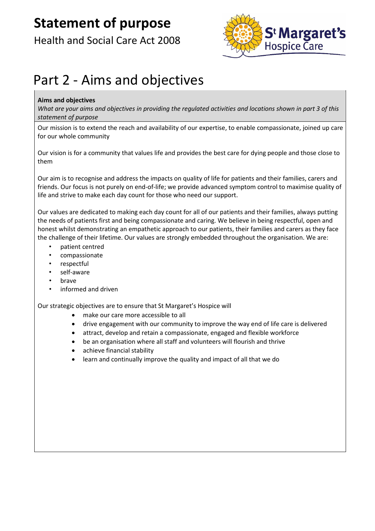## Health and Social Care Act 2008



## Part 2 - Aims and objectives

### **Aims and objectives**

*What are your aims and objectives in providing the regulated activities and locations shown in part 3 of this statement of purpose*

Our mission is to extend the reach and availability of our expertise, to enable compassionate, joined up care for our whole community

Our vision is for a community that values life and provides the best care for dying people and those close to them

Our aim is to recognise and address the impacts on quality of life for patients and their families, carers and friends. Our focus is not purely on end-of-life; we provide advanced symptom control to maximise quality of life and strive to make each day count for those who need our support.

Our values are dedicated to making each day count for all of our patients and their families, always putting the needs of patients first and being compassionate and caring. We believe in being respectful, open and honest whilst demonstrating an empathetic approach to our patients, their families and carers as they face the challenge of their lifetime. Our values are strongly embedded throughout the organisation. We are:

- patient centred
- compassionate
- respectful
- self-aware
- brave
- informed and driven

Our strategic objectives are to ensure that St Margaret's Hospice will

- make our care more accessible to all
- drive engagement with our community to improve the way end of life care is delivered
- attract, develop and retain a compassionate, engaged and flexible workforce
- be an organisation where all staff and volunteers will flourish and thrive
- achieve financial stability
- learn and continually improve the quality and impact of all that we do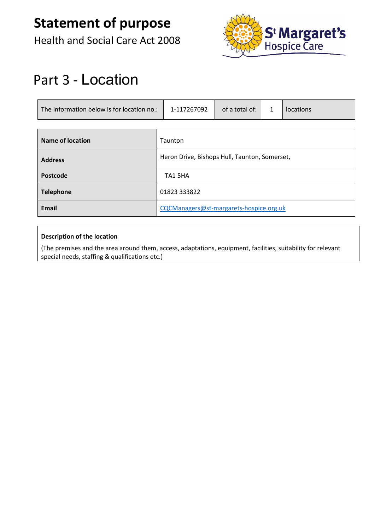Health and Social Care Act 2008



## Part 3 - Location

| The information below is for location no.: | 1-117267092                                   | of a total of: | $\mathbf{1}$ | locations |
|--------------------------------------------|-----------------------------------------------|----------------|--------------|-----------|
|                                            |                                               |                |              |           |
| Name of location                           | Taunton                                       |                |              |           |
| <b>Address</b>                             | Heron Drive, Bishops Hull, Taunton, Somerset, |                |              |           |
| Postcode                                   | TA1 5HA                                       |                |              |           |
| <b>Telephone</b>                           | 01823 333822                                  |                |              |           |
| <b>Email</b>                               | CQCManagers@st-margarets-hospice.org.uk       |                |              |           |

### **Description of the location**

(The premises and the area around them, access, adaptations, equipment, facilities, suitability for relevant special needs, staffing & qualifications etc.)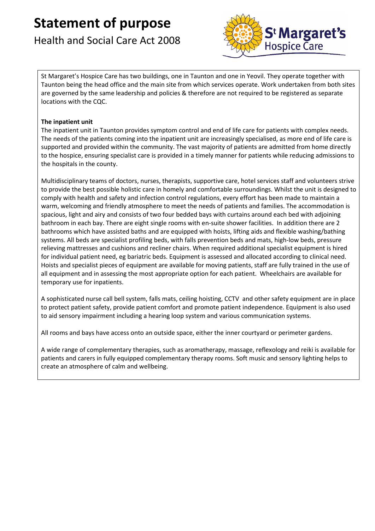### Health and Social Care Act 2008



St Margaret's Hospice Care has two buildings, one in Taunton and one in Yeovil. They operate together with Taunton being the head office and the main site from which services operate. Work undertaken from both sites are governed by the same leadership and policies & therefore are not required to be registered as separate locations with the CQC.

### **The inpatient unit**

The inpatient unit in Taunton provides symptom control and end of life care for patients with complex needs. The needs of the patients coming into the inpatient unit are increasingly specialised, as more end of life care is supported and provided within the community. The vast majority of patients are admitted from home directly to the hospice, ensuring specialist care is provided in a timely manner for patients while reducing admissions to the hospitals in the county.

Multidisciplinary teams of doctors, nurses, therapists, supportive care, hotel services staff and volunteers strive to provide the best possible holistic care in homely and comfortable surroundings. Whilst the unit is designed to comply with health and safety and infection control regulations, every effort has been made to maintain a warm, welcoming and friendly atmosphere to meet the needs of patients and families. The accommodation is spacious, light and airy and consists of two four bedded bays with curtains around each bed with adjoining bathroom in each bay. There are eight single rooms with en-suite shower facilities. In addition there are 2 bathrooms which have assisted baths and are equipped with hoists, lifting aids and flexible washing/bathing systems. All beds are specialist profiling beds, with falls prevention beds and mats, high-low beds, pressure relieving mattresses and cushions and recliner chairs. When required additional specialist equipment is hired for individual patient need, eg bariatric beds. Equipment is assessed and allocated according to clinical need. Hoists and specialist pieces of equipment are available for moving patients, staff are fully trained in the use of all equipment and in assessing the most appropriate option for each patient. Wheelchairs are available for temporary use for inpatients.

A sophisticated nurse call bell system, falls mats, ceiling hoisting, CCTV and other safety equipment are in place to protect patient safety, provide patient comfort and promote patient independence. Equipment is also used to aid sensory impairment including a hearing loop system and various communication systems.

All rooms and bays have access onto an outside space, either the inner courtyard or perimeter gardens.

A wide range of complementary therapies, such as aromatherapy, massage, reflexology and reiki is available for patients and carers in fully equipped complementary therapy rooms. Soft music and sensory lighting helps to create an atmosphere of calm and wellbeing.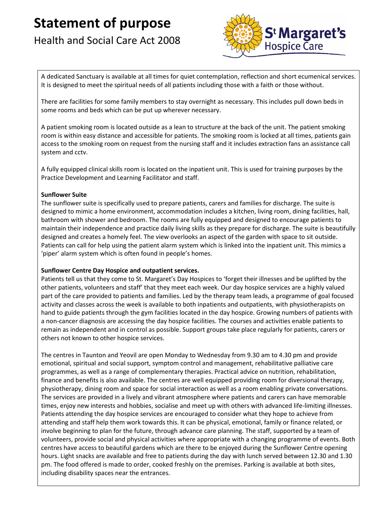## Health and Social Care Act 2008



A dedicated Sanctuary is available at all times for quiet contemplation, reflection and short ecumenical services. It is designed to meet the spiritual needs of all patients including those with a faith or those without.

There are facilities for some family members to stay overnight as necessary. This includes pull down beds in some rooms and beds which can be put up wherever necessary.

A patient smoking room is located outside as a lean to structure at the back of the unit. The patient smoking room is within easy distance and accessible for patients. The smoking room is locked at all times, patients gain access to the smoking room on request from the nursing staff and it includes extraction fans an assistance call system and cctv.

A fully equipped clinical skills room is located on the inpatient unit. This is used for training purposes by the Practice Development and Learning Facilitator and staff.

### **Sunflower Suite**

The sunflower suite is specifically used to prepare patients, carers and families for discharge. The suite is designed to mimic a home environment, accommodation includes a kitchen, living room, dining facilities, hall, bathroom with shower and bedroom. The rooms are fully equipped and designed to encourage patients to maintain their independence and practice daily living skills as they prepare for discharge. The suite is beautifully designed and creates a homely feel. The view overlooks an aspect of the garden with space to sit outside. Patients can call for help using the patient alarm system which is linked into the inpatient unit. This mimics a 'piper' alarm system which is often found in people's homes.

#### **Sunflower Centre Day Hospice and outpatient services.**

Patients tell us that they come to St. Margaret's Day Hospices to 'forget their illnesses and be uplifted by the other patients, volunteers and staff' that they meet each week. Our day hospice services are a highly valued part of the care provided to patients and families. Led by the therapy team leads, a programme of goal focused activity and classes across the week is available to both inpatients and outpatients, with physiotherapists on hand to guide patients through the gym facilities located in the day hospice. Growing numbers of patients with a non-cancer diagnosis are accessing the day hospice facilities. The courses and activities enable patients to remain as independent and in control as possible. Support groups take place regularly for patients, carers or others not known to other hospice services.

The centres in Taunton and Yeovil are open Monday to Wednesday from 9.30 am to 4.30 pm and provide emotional, spiritual and social support, symptom control and management, rehabilitative palliative care programmes, as well as a range of complementary therapies. Practical advice on nutrition, rehabilitation, finance and benefits is also available. The centres are well equipped providing room for diversional therapy, physiotherapy, dining room and space for social interaction as well as a room enabling private conversations. The services are provided in a lively and vibrant atmosphere where patients and carers can have memorable times, enjoy new interests and hobbies, socialise and meet up with others with advanced life-limiting illnesses. Patients attending the day hospice services are encouraged to consider what they hope to achieve from attending and staff help them work towards this. It can be physical, emotional, family or finance related, or involve beginning to plan for the future, through advance care planning. The staff, supported by a team of volunteers, provide social and physical activities where appropriate with a changing programme of events. Both centres have access to beautiful gardens which are there to be enjoyed during the Sunflower Centre opening hours. Light snacks are available and free to patients during the day with lunch served between 12.30 and 1.30 pm. The food offered is made to order, cooked freshly on the premises. Parking is available at both sites, including disability spaces near the entrances.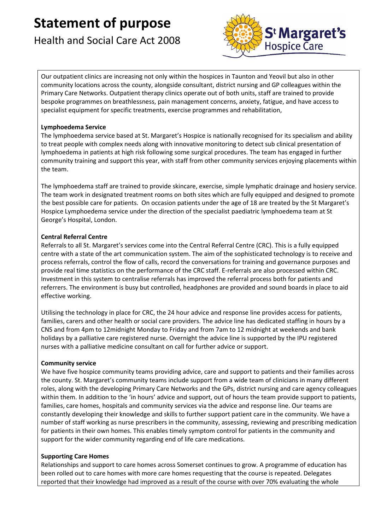## Health and Social Care Act 2008



Our outpatient clinics are increasing not only within the hospices in Taunton and Yeovil but also in other community locations across the county, alongside consultant, district nursing and GP colleagues within the Primary Care Networks. Outpatient therapy clinics operate out of both units, staff are trained to provide bespoke programmes on breathlessness, pain management concerns, anxiety, fatigue, and have access to specialist equipment for specific treatments, exercise programmes and rehabilitation,

### **Lymphoedema Service**

The lymphoedema service based at St. Margaret's Hospice is nationally recognised for its specialism and ability to treat people with complex needs along with innovative monitoring to detect sub clinical presentation of lymphoedema in patients at high risk following some surgical procedures. The team has engaged in further community training and support this year, with staff from other community services enjoying placements within the team.

The lymphoedema staff are trained to provide skincare, exercise, simple lymphatic drainage and hosiery service. The team work in designated treatment rooms on both sites which are fully equipped and designed to promote the best possible care for patients. On occasion patients under the age of 18 are treated by the St Margaret's Hospice Lymphoedema service under the direction of the specialist paediatric lymphoedema team at St George's Hospital, London.

### **Central Referral Centre**

Referrals to all St. Margaret's services come into the Central Referral Centre (CRC). This is a fully equipped centre with a state of the art communication system. The aim of the sophisticated technology is to receive and process referrals, control the flow of calls, record the conversations for training and governance purposes and provide real time statistics on the performance of the CRC staff. E-referrals are also processed within CRC. Investment in this system to centralise referrals has improved the referral process both for patients and referrers. The environment is busy but controlled, headphones are provided and sound boards in place to aid effective working.

Utilising the technology in place for CRC, the 24 hour advice and response line provides access for patients, families, carers and other health or social care providers. The advice line has dedicated staffing in hours by a CNS and from 4pm to 12midnight Monday to Friday and from 7am to 12 midnight at weekends and bank holidays by a palliative care registered nurse. Overnight the advice line is supported by the IPU registered nurses with a palliative medicine consultant on call for further advice or support.

### **Community service**

We have five hospice community teams providing advice, care and support to patients and their families across the county. St. Margaret's community teams include support from a wide team of clinicians in many different roles, along with the developing Primary Care Networks and the GPs, district nursing and care agency colleagues within them. In addition to the 'in hours' advice and support, out of hours the team provide support to patients, families, care homes, hospitals and community services via the advice and response line. Our teams are constantly developing their knowledge and skills to further support patient care in the community. We have a number of staff working as nurse prescribers in the community, assessing, reviewing and prescribing medication for patients in their own homes. This enables timely symptom control for patients in the community and support for the wider community regarding end of life care medications.

### **Supporting Care Homes**

Relationships and support to care homes across Somerset continues to grow. A programme of education has been rolled out to care homes with more care homes requesting that the course is repeated. Delegates reported that their knowledge had improved as a result of the course with over 70% evaluating the whole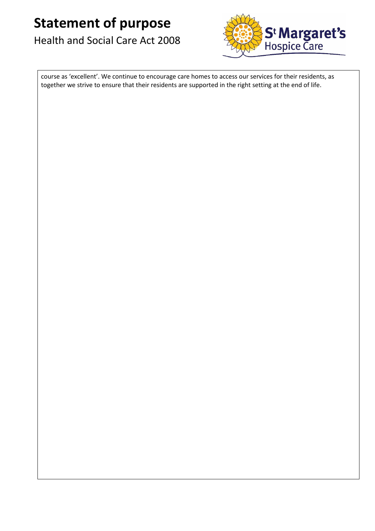## Health and Social Care Act 2008



course as 'excellent'. We continue to encourage care homes to access our services for their residents, as together we strive to ensure that their residents are supported in the right setting at the end of life.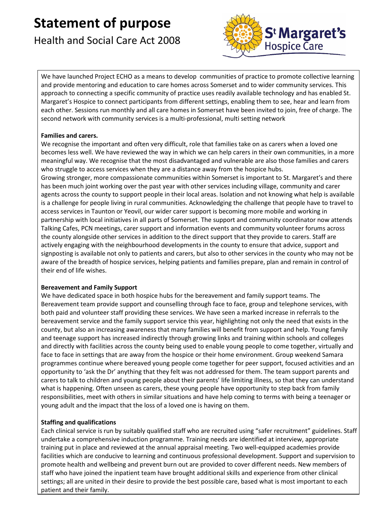## Health and Social Care Act 2008



We have launched Project ECHO as a means to develop communities of practice to promote collective learning and provide mentoring and education to care homes across Somerset and to wider community services. This approach to connecting a specific community of practice uses readily available technology and has enabled St. Margaret's Hospice to connect participants from different settings, enabling them to see, hear and learn from each other. Sessions run monthly and all care homes in Somerset have been invited to join, free of charge. The second network with community services is a multi-professional, multi setting network

### **Families and carers.**

We recognise the important and often very difficult, role that families take on as carers when a loved one becomes less well. We have reviewed the way in which we can help carers in their own communities, in a more meaningful way. We recognise that the most disadvantaged and vulnerable are also those families and carers who struggle to access services when they are a distance away from the hospice hubs.

Growing stronger, more compassionate communities within Somerset is important to St. Margaret's and there has been much joint working over the past year with other services including village, community and carer agents across the county to support people in their local areas. Isolation and not knowing what help is available is a challenge for people living in rural communities. Acknowledging the challenge that people have to travel to access services in Taunton or Yeovil, our wider carer support is becoming more mobile and working in partnership with local initiatives in all parts of Somerset. The support and community coordinator now attends Talking Cafes, PCN meetings, carer support and information events and community volunteer forums across the county alongside other services in addition to the direct support that they provide to carers. Staff are actively engaging with the neighbourhood developments in the county to ensure that advice, support and signposting is available not only to patients and carers, but also to other services in the county who may not be aware of the breadth of hospice services, helping patients and families prepare, plan and remain in control of their end of life wishes.

### **Bereavement and Family Support**

We have dedicated space in both hospice hubs for the bereavement and family support teams. The Bereavement team provide support and counselling through face to face, group and telephone services, with both paid and volunteer staff providing these services. We have seen a marked increase in referrals to the bereavement service and the family support service this year, highlighting not only the need that exists in the county, but also an increasing awareness that many families will benefit from support and help. Young family and teenage support has increased indirectly through growing links and training within schools and colleges and directly with facilities across the county being used to enable young people to come together, virtually and face to face in settings that are away from the hospice or their home environment. Group weekend Samara programmes continue where bereaved young people come together for peer support, focused activities and an opportunity to 'ask the Dr' anything that they felt was not addressed for them. The team support parents and carers to talk to children and young people about their parents' life limiting illness, so that they can understand what is happening. Often unseen as carers, these young people have opportunity to step back from family responsibilities, meet with others in similar situations and have help coming to terms with being a teenager or young adult and the impact that the loss of a loved one is having on them.

### **Staffing and qualifications**

Each clinical service is run by suitably qualified staff who are recruited using "safer recruitment" guidelines. Staff undertake a comprehensive induction programme. Training needs are identified at interview, appropriate training put in place and reviewed at the annual appraisal meeting. Two well-equipped academies provide facilities which are conducive to learning and continuous professional development. Support and supervision to promote health and wellbeing and prevent burn out are provided to cover different needs. New members of staff who have joined the inpatient team have brought additional skills and experience from other clinical settings; all are united in their desire to provide the best possible care, based what is most important to each patient and their family.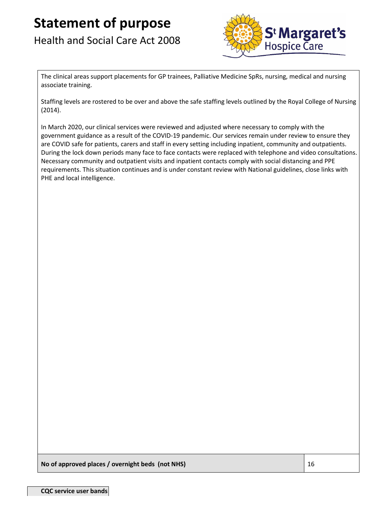## Health and Social Care Act 2008



The clinical areas support placements for GP trainees, Palliative Medicine SpRs, nursing, medical and nursing associate training.

Staffing levels are rostered to be over and above the safe staffing levels outlined by the Royal College of Nursing (2014).

In March 2020, our clinical services were reviewed and adjusted where necessary to comply with the government guidance as a result of the COVID-19 pandemic. Our services remain under review to ensure they are COVID safe for patients, carers and staff in every setting including inpatient, community and outpatients. During the lock down periods many face to face contacts were replaced with telephone and video consultations. Necessary community and outpatient visits and inpatient contacts comply with social distancing and PPE requirements. This situation continues and is under constant review with National guidelines, close links with PHE and local intelligence.

**No of approved places / overnight beds (not NHS)** 16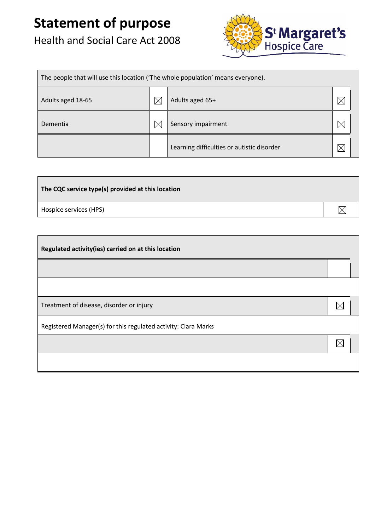## Health and Social Care Act 2008



| The people that will use this location ('The whole population' means everyone). |          |                                            |  |  |
|---------------------------------------------------------------------------------|----------|--------------------------------------------|--|--|
| Adults aged 18-65                                                               | $\times$ | Adults aged 65+                            |  |  |
| Dementia                                                                        | $\times$ | Sensory impairment                         |  |  |
|                                                                                 |          | Learning difficulties or autistic disorder |  |  |

| The CQC service type(s) provided at this location |  |
|---------------------------------------------------|--|
| Hospice services (HPS)                            |  |

| Regulated activity(ies) carried on at this location            |             |  |
|----------------------------------------------------------------|-------------|--|
|                                                                |             |  |
|                                                                |             |  |
| Treatment of disease, disorder or injury                       | $\boxtimes$ |  |
| Registered Manager(s) for this regulated activity: Clara Marks |             |  |
|                                                                | $\boxtimes$ |  |
|                                                                |             |  |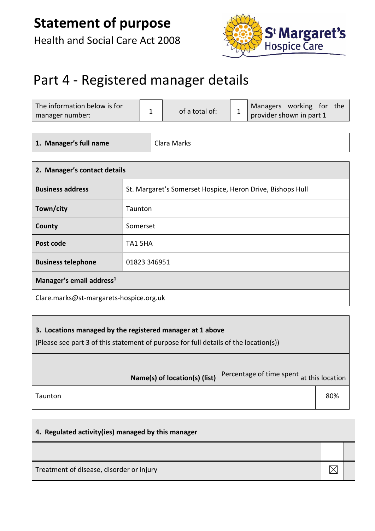Health and Social Care Act 2008



## Part 4 - Registered manager details

| The information below is for<br>manager number: | of a total of: | Managers working for<br>the<br>provider shown in part 1 |
|-------------------------------------------------|----------------|---------------------------------------------------------|
|                                                 |                |                                                         |

**1. Manager's full name** | Clara Marks

| 2. Manager's contact details              |                                                            |  |  |
|-------------------------------------------|------------------------------------------------------------|--|--|
| <b>Business address</b>                   | St. Margaret's Somerset Hospice, Heron Drive, Bishops Hull |  |  |
| Town/city                                 | Taunton                                                    |  |  |
| County                                    | Somerset                                                   |  |  |
| Post code                                 | TA1 5HA                                                    |  |  |
| <b>Business telephone</b><br>01823 346951 |                                                            |  |  |
| Manager's email address <sup>1</sup>      |                                                            |  |  |
| Clare.marks@st-margarets-hospice.org.uk   |                                                            |  |  |

### **3. Locations managed by the registered manager at 1 above**

(Please see part 3 of this statement of purpose for full details of the location(s))

|         | Name(s) of location(s) (list) | Percentage of time spent at this location |     |
|---------|-------------------------------|-------------------------------------------|-----|
| Taunton |                               |                                           | 80% |
|         |                               |                                           |     |

| 4. Regulated activity(ies) managed by this manager |  |  |
|----------------------------------------------------|--|--|
|                                                    |  |  |
| Treatment of disease, disorder or injury           |  |  |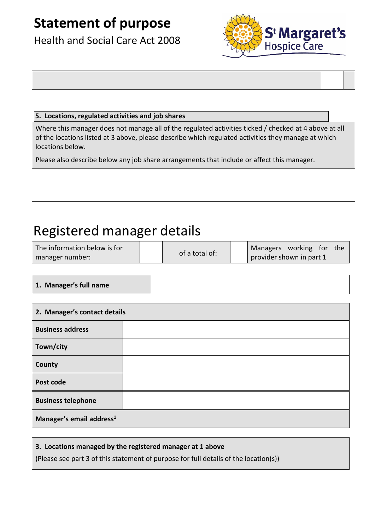Health and Social Care Act 2008



### **5. Locations, regulated activities and job shares**

Where this manager does not manage all of the regulated activities ticked / checked at 4 above at all of the locations listed at 3 above, please describe which regulated activities they manage at which locations below.

Please also describe below any job share arrangements that include or affect this manager.

## Registered manager details

| The information below is for |                | Managers working for<br>the |
|------------------------------|----------------|-----------------------------|
| manager number:              | of a total of: | provider shown in part 1    |

**1. Manager's full name**

| 2. Manager's contact details         |  |  |
|--------------------------------------|--|--|
| <b>Business address</b>              |  |  |
| Town/city                            |  |  |
| County                               |  |  |
| Post code                            |  |  |
| <b>Business telephone</b>            |  |  |
| Manager's email address <sup>1</sup> |  |  |

### **3. Locations managed by the registered manager at 1 above**

(Please see part 3 of this statement of purpose for full details of the location(s))